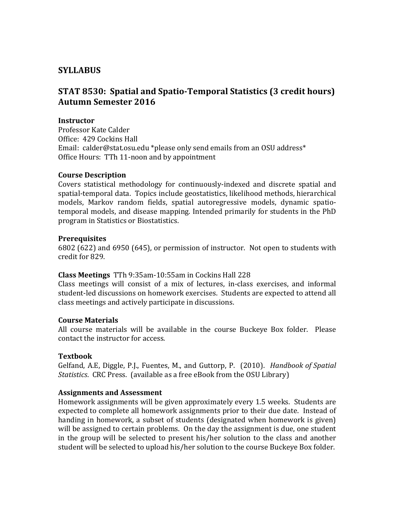# **SYLLABUS**

# **STAT 8530: Spatial and Spatio-Temporal Statistics (3 credit hours) Autumn Semester 2016**

### **Instructor**

Professor Kate Calder Office: 429 Cockins Hall Email: calder@stat.osu.edu \*please only send emails from an OSU address\* Office Hours: TTh 11-noon and by appointment

#### **Course Description**

Covers statistical methodology for continuously-indexed and discrete spatial and spatial-temporal data. Topics include geostatistics, likelihood methods, hierarchical models, Markov random fields, spatial autoregressive models, dynamic spatiotemporal models, and disease mapping. Intended primarily for students in the PhD program in Statistics or Biostatistics.

#### **Prerequisites**

6802 (622) and 6950 (645), or permission of instructor. Not open to students with credit for 829.

#### **Class Meetings** TTh 9:35am-10:55am in Cockins Hall 228

Class meetings will consist of a mix of lectures, in-class exercises, and informal student-led discussions on homework exercises. Students are expected to attend all class meetings and actively participate in discussions.

#### **Course Materials**

All course materials will be available in the course Buckeye Box folder. Please contact the instructor for access.

## **Textbook**

Gelfand, A.E, Diggle, P.J., Fuentes, M., and Guttorp, P. (2010). *Handbook of Spatial Statistics*. CRC Press. (available as a free eBook from the OSU Library)

## **Assignments and Assessment**

Homework assignments will be given approximately every 1.5 weeks. Students are expected to complete all homework assignments prior to their due date. Instead of handing in homework, a subset of students (designated when homework is given) will be assigned to certain problems. On the day the assignment is due, one student in the group will be selected to present his/her solution to the class and another student will be selected to upload his/her solution to the course Buckeye Box folder.